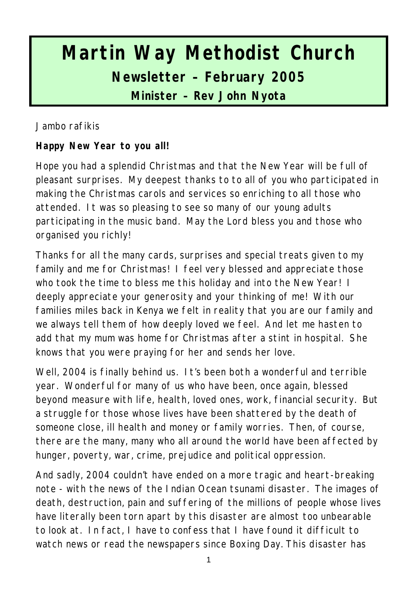# **Martin Way Methodist Church Newsletter – February 2005 Minister – Rev John Nyota**

Jambo rafikis

**Happy New Year to you all!**

Hope you had a splendid Christmas and that the New Year will be full of pleasant surprises. My deepest thanks to to all of you who participated in making the Christmas carols and services so enriching to all those who attended. It was so pleasing to see so many of our young adults participating in the music band. May the Lord bless you and those who organised you richly!

Thanks for all the many cards, surprises and special treats given to my family and me for Christmas! I feel very blessed and appreciate those who took the time to bless me this holiday and into the New Year! I deeply appreciate your generosity and your thinking of me! With our families miles back in Kenya we felt in reality that you are our family and we always tell them of how deeply loved we feel. And let me hasten to add that my mum was home for Christmas after a stint in hospital. She knows that you were praying for her and sends her love.

Well, 2004 is finally behind us. It's been both a wonderful and terrible year. Wonderful for many of us who have been, once again, blessed beyond measure with life, health, loved ones, work, financial security. But a struggle for those whose lives have been shattered by the death of someone close, ill health and money or family worries. Then, of course, there are the many, many who all around the world have been affected by hunger, poverty, war, crime, prejudice and political oppression.

And sadly, 2004 couldn't have ended on a more tragic and heart-breaking note - with the news of the Indian Ocean tsunami disaster. The images of death, destruction, pain and suffering of the millions of people whose lives have literally been torn apart by this disaster are almost too unbearable to look at. In fact, I have to confess that I have found it difficult to watch news or read the newspapers since Boxing Day. This disaster has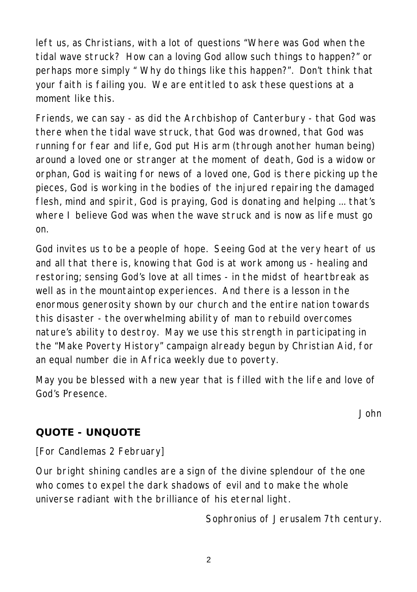left us, as Christians, with a lot of questions "Where was God when the tidal wave struck? How can a loving God allow such things to happen?" or perhaps more simply " Why do things like this happen?". Don't think that your faith is failing you. We are entitled to ask these questions at a moment like this.

Friends, we can say - as did the Archbishop of Canterbury - that God was there when the tidal wave struck, that God was drowned, that God was running for fear and life, God put His arm (through another human being) around a loved one or stranger at the moment of death, God is a widow or orphan, God is waiting for news of a loved one, God is there picking up the pieces, God is working in the bodies of the injured repairing the damaged flesh, mind and spirit, God is praying, God is donating and helping ... that's where I believe God was when the wave struck and is now as life must go on.

God invites us to be a people of hope. Seeing God at the very heart of us and all that there is, knowing that God is at work among us - healing and restoring; sensing God's love at all times - in the midst of heartbreak as well as in the mountaintop experiences. And there is a lesson in the enormous generosity shown by our church and the entire nation towards this disaster - the overwhelming ability of man to rebuild overcomes nature's ability to destroy. May we use this strength in participating in the "Make Poverty History" campaign already begun by Christian Aid, for an equal number die in Africa weekly due to poverty.

May you be blessed with a new year that is filled with the life and love of God's Presence.

*John*

#### **QUOTE - UNQUOTE**

[For Candlemas 2 February]

Our bright shining candles are a sign of the divine splendour of the one who comes to expel the dark shadows of evil and to make the whole universe radiant with the brilliance of his eternal light.

*Sophronius of Jerusalem 7th century.*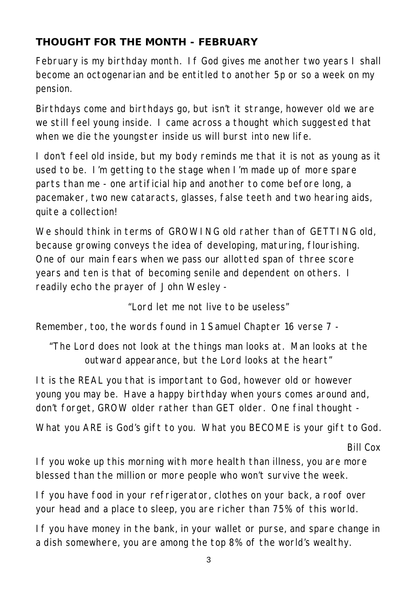#### **THOUGHT FOR THE MONTH - FEBRUARY**

February is my birthday month. If God gives me another two years I shall become an octogenarian and be entitled to another 5p or so a week on my pension.

Birthdays come and birthdays go, but isn't it strange, however old we are we still feel young inside. I came across a thought which suggested that when we die the youngster inside us will burst into new life.

I don't feel old inside, but my body reminds me that it is not as young as it used to be. I'm getting to the stage when I'm made up of more spare parts than me - one artificial hip and another to come before long, a pacemaker, two new cataracts, glasses, false teeth and two hearing aids, quite a collection!

We should think in terms of GROWING old rather than of GETTING old. because growing conveys the idea of developing, maturing, flourishing. One of our main fears when we pass our allotted span of three score years and ten is that of becoming senile and dependent on others. I readily echo the prayer of John Wesley -

*"Lord let me not live to be useless"*

Remember, too, the words found in 1 Samuel Chapter 16 verse 7 -

*"The Lord does not look at the things man looks at. Man looks at the outward appearance, but the Lord looks at the heart"*

It is the REAL you that is important to God, however old or however young you may be. Have a happy birthday when yours comes around and, don't forget, GROW older rather than GET older. One final thought -

What you ARE is God's gift to you. What you BECOME is your gift to God.

*Bill Cox*

If you woke up this morning with more health than illness, you are more blessed than the million or more people who won't survive the week.

If you have food in your refrigerator, clothes on your back, a roof over your head and a place to sleep, you are richer than 75% of this world.

If you have money in the bank, in your wallet or purse, and spare change in a dish somewhere, you are among the top 8% of the world's wealthy.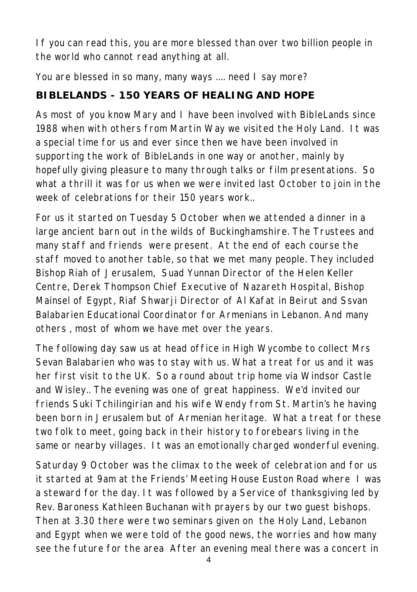If you can read this, you are more blessed than over two billion people in the world who cannot read anything at all.

You are blessed in so many, many ways .... need I say more?

## **BIBLELANDS - 150 YEARS OF HEALING AND HOPE**

As most of you know Mary and I have been involved with BibleLands since 1988 when with others from Martin Way we visited the Holy Land. It was a special time for us and ever since then we have been involved in supporting the work of BibleLands in one way or another, mainly by hopefully giving pleasure to many through talks or film presentations. So what a thrill it was for us when we were invited last October to join in the week of celebrations for their 150 years work..

For us it started on Tuesday 5 October when we attended a dinner in a large ancient barn out in the wilds of Buckinghamshire. The Trustees and many staff and friends were present. At the end of each course the staff moved to another table, so that we met many people. They included Bishop Riah of Jerusalem, Suad Yunnan Director of the Helen Keller Centre, Derek Thompson Chief Executive of Nazareth Hospital, Bishop Mainsel of Egypt, Riaf Shwarji Director of Al Kafat in Beirut and Ssvan Balabarien Educational Coordinator for Armenians in Lebanon. And many others , most of whom we have met over the years.

The following day saw us at head office in High Wycombe to collect Mrs Sevan Balabarien who was to stay with us. What a treat for us and it was her first visit to the UK. So a round about trip home via Windsor Castle and Wisley.. The evening was one of great happiness. We'd invited our friends Suki Tchilingirian and his wife Wendy from St. Martin's he having been born in Jerusalem but of Armenian heritage. What a treat for these two folk to meet, going back in their history to forebears living in the same or nearby villages. It was an emotionally charged wonderful evening.

Saturday 9 October was the climax to the week of celebration and for us it started at 9am at the Friends' Meeting House Euston Road where I was a steward for the day. It was followed by a Service of thanksgiving led by Rev. Baroness Kathleen Buchanan with prayers by our two guest bishops. Then at 3.30 there were two seminars given on the Holy Land, Lebanon and Egypt when we were told of the good news, the worries and how many see the future for the area After an evening meal there was a concert in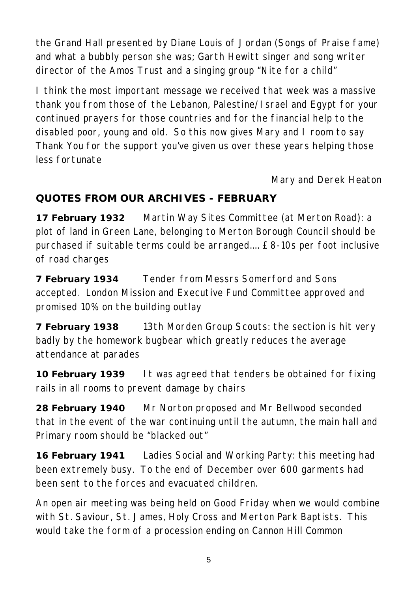the Grand Hall presented by Diane Louis of Jordan (Songs of Praise fame) and what a bubbly person she was; Garth Hewitt singer and song writer director of the Amos Trust and a singing group "Nite for a child"

I think the most important message we received that week was a massive thank you from those of the Lebanon, Palestine/Israel and Egypt for your continued prayers for those countries and for the financial help to the disabled poor, young and old. So this now gives Mary and I room to say Thank You for the support you've given us over these years helping those less fortunate

*Mary and Derek Heaton*

#### **QUOTES FROM OUR ARCHIVES - FEBRUARY**

**17 February 1932** Martin Way Sites Committee (at Merton Road): a plot of land in Green Lane, belonging to Merton Borough Council should be purchased if suitable terms could be arranged.... £8-10s per foot inclusive of road charges

**7 February 1934** Tender from Messrs Somerford and Sons accepted. London Mission and Executive Fund Committee approved and promised 10% on the building outlay

**7 February 1938** 13th Morden Group Scouts: the section is hit very badly by the homework bugbear which greatly reduces the average attendance at parades

**10 February 1939** It was agreed that tenders be obtained for fixing rails in all rooms to prevent damage by chairs

**28 February 1940** Mr Norton proposed and Mr Bellwood seconded that in the event of the war continuing until the autumn, the main hall and Primary room should be "blacked out"

**16 February 1941** Ladies Social and Working Party: this meeting had been extremely busy. To the end of December over 600 garments had been sent to the forces and evacuated children.

An open air meeting was being held on Good Friday when we would combine with St. Saviour, St. James, Holy Cross and Merton Park Baptists. This would take the form of a procession ending on Cannon Hill Common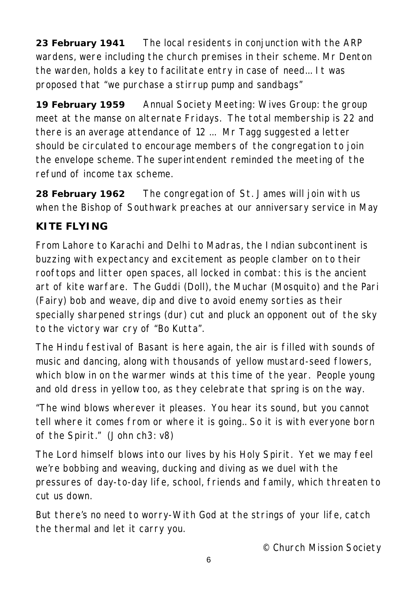**23 February 1941** The local residents in conjunction with the ARP wardens, were including the church premises in their scheme. Mr Denton the warden, holds a key to facilitate entry in case of need... It was proposed that "we purchase a stirrup pump and sandbags"

**19 February 1959** Annual Society Meeting: Wives Group: the group meet at the manse on alternate Fridays. The total membership is 22 and there is an average attendance of 12 ... Mr Tagg suggested a letter should be circulated to encourage members of the congregation to join the envelope scheme. The superintendent reminded the meeting of the refund of income tax scheme.

**28 February 1962** The congregation of St. James will join with us when the Bishop of Southwark preaches at our anniversary service in May

#### **KITE FLYING**

From Lahore to Karachi and Delhi to Madras, the Indian subcontinent is buzzing with expectancy and excitement as people clamber on to their rooftops and litter open spaces, all locked in combat: this is the ancient art of kite warfare. The Guddi (Doll), the Muchar (Mosquito) and the Pari (Fairy) bob and weave, dip and dive to avoid enemy sorties as their specially sharpened strings (dur) cut and pluck an opponent out of the sky to the victory war cry of "Bo Kutta".

The Hindu festival of Basant is here again, the air is filled with sounds of music and dancing, along with thousands of yellow mustard-seed flowers, which blow in on the warmer winds at this time of the year. People young and old dress in yellow too, as they celebrate that spring is on the way.

"The wind blows wherever it pleases. You hear its sound, but you cannot tell where it comes from or where it is going.. So it is with everyone born of the Spirit." (John ch3: v8)

The Lord himself blows into our lives by his Holy Spirit. Yet we may feel we're bobbing and weaving, ducking and diving as we duel with the pressures of day-to-day life, school, friends and family, which threaten to cut us down.

But there's no need to worry-With God at the strings of your life, catch the thermal and let it carry you.

*© Church Mission Society*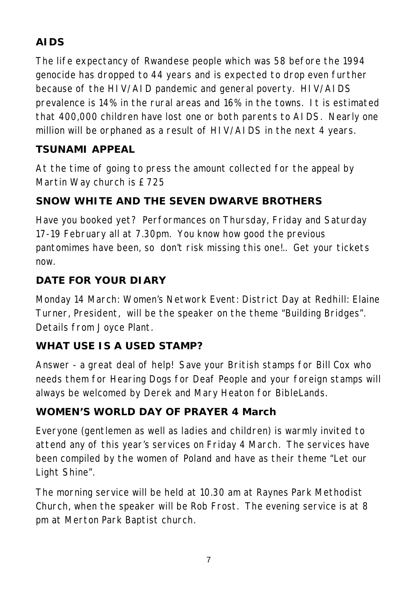# **AIDS**

The life expectancy of Rwandese people which was 58 before the 1994 genocide has dropped to 44 years and is expected to drop even further because of the HIV/AID pandemic and general poverty. HIV/AIDS prevalence is 14% in the rural areas and 16% in the towns. It is estimated that 400,000 children have lost one or both parents to AIDS. Nearly one million will be orphaned as a result of HIV/AIDS in the next 4 years.

#### **TSUNAMI APPEAL**

At the time of going to press the amount collected for the appeal by Martin Way church is £725

## **SNOW WHITE AND THE SEVEN DWARVE BROTHERS**

Have you booked yet? Performances on Thursday, Friday and Saturday 17-19 February all at 7.30pm. You know how good the previous pantomimes have been, so don't risk missing this one!.. Get your tickets now.

#### **DATE FOR YOUR DIARY**

Monday 14 March: Women's Network Event: District Day at Redhill: Elaine Turner, President, will be the speaker on the theme "Building Bridges". Details from Joyce Plant.

#### **WHAT USE IS A USED STAMP?**

Answer - a great deal of help! Save your British stamps for Bill Cox who needs them for Hearing Dogs for Deaf People and your foreign stamps will always be welcomed by Derek and Mary Heaton for BibleLands.

#### **WOMEN'S WORLD DAY OF PRAYER 4 March**

Everyone (gentlemen as well as ladies and children) is warmly invited to attend any of this year's services on Friday 4 March. The services have been compiled by the women of Poland and have as their theme "Let our Light Shine".

The morning service will be held at 10.30 am at Raynes Park Methodist Church, when the speaker will be Rob Frost. The evening service is at 8 pm at Merton Park Baptist church.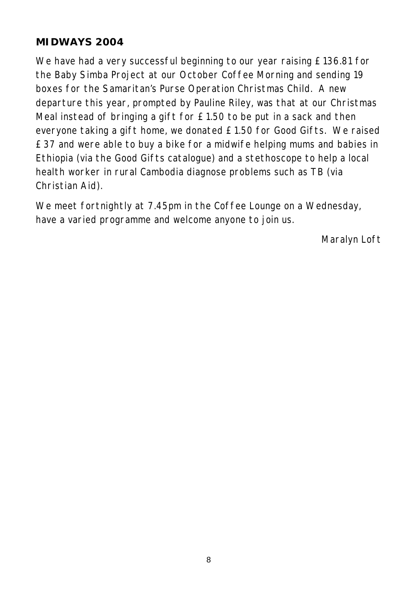#### **MIDWAYS 2004**

We have had a very successful beginning to our year raising £136.81 for the Baby Simba Project at our October Coffee Morning and sending 19 boxes for the Samaritan's Purse Operation Christmas Child. A new departure this year, prompted by Pauline Riley, was that at our Christmas Meal instead of bringing a gift for £1.50 to be put in a sack and then everyone taking a gift home, we donated £1.50 for Good Gifts. We raised £37 and were able to buy a bike for a midwife helping mums and babies in Ethiopia (via the Good Gifts catalogue) and a stethoscope to help a local health worker in rural Cambodia diagnose problems such as TB (via Christian Aid).

We meet fortnightly at 7.45pm in the Coffee Lounge on a Wednesday, have a varied programme and welcome anyone to join us.

*Maralyn Loft*